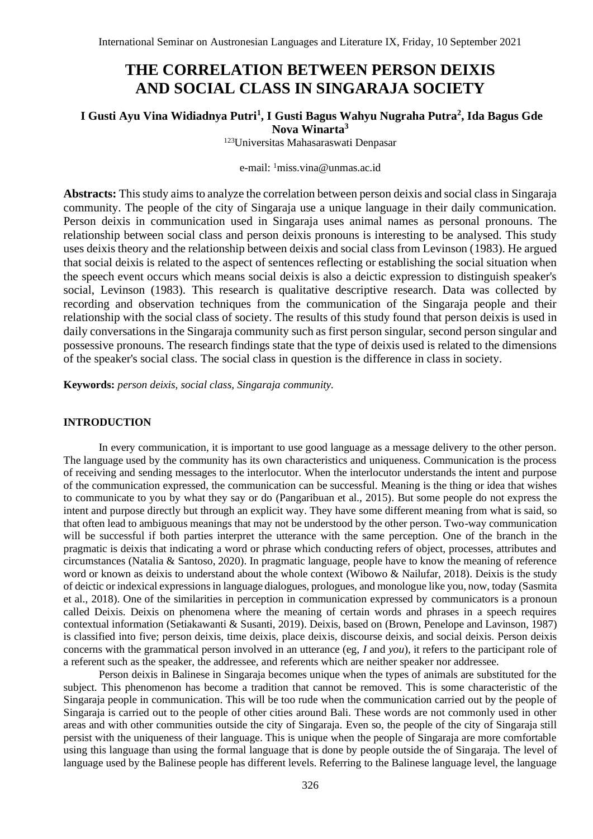# **THE CORRELATION BETWEEN PERSON DEIXIS AND SOCIAL CLASS IN SINGARAJA SOCIETY**

# **I Gusti Ayu Vina Widiadnya Putri<sup>1</sup> , I Gusti Bagus Wahyu Nugraha Putra<sup>2</sup> , Ida Bagus Gde Nova Winarta<sup>3</sup>**

<sup>123</sup>Universitas Mahasaraswati Denpasar

## e-mail: <sup>1</sup>miss.vina@unmas.ac.id

**Abstracts:** This study aims to analyze the correlation between person deixis and social class in Singaraja community. The people of the city of Singaraja use a unique language in their daily communication. Person deixis in communication used in Singaraja uses animal names as personal pronouns. The relationship between social class and person deixis pronouns is interesting to be analysed. This study uses deixis theory and the relationship between deixis and social class from Levinson (1983). He argued that social deixis is related to the aspect of sentences reflecting or establishing the social situation when the speech event occurs which means social deixis is also a deictic expression to distinguish speaker's social, Levinson (1983). This research is qualitative descriptive research. Data was collected by recording and observation techniques from the communication of the Singaraja people and their relationship with the social class of society. The results of this study found that person deixis is used in daily conversations in the Singaraja community such as first person singular, second person singular and possessive pronouns. The research findings state that the type of deixis used is related to the dimensions of the speaker's social class. The social class in question is the difference in class in society.

**Keywords:** *person deixis, social class, Singaraja community.*

#### **INTRODUCTION**

In every communication, it is important to use good language as a message delivery to the other person. The language used by the community has its own characteristics and uniqueness. Communication is the process of receiving and sending messages to the interlocutor. When the interlocutor understands the intent and purpose of the communication expressed, the communication can be successful. Meaning is the thing or idea that wishes to communicate to you by what they say or do (Pangaribuan et al., 2015). But some people do not express the intent and purpose directly but through an explicit way. They have some different meaning from what is said, so that often lead to ambiguous meanings that may not be understood by the other person. Two-way communication will be successful if both parties interpret the utterance with the same perception. One of the branch in the pragmatic is deixis that indicating a word or phrase which conducting refers of object, processes, attributes and circumstances (Natalia & Santoso, 2020). In pragmatic language, people have to know the meaning of reference word or known as deixis to understand about the whole context (Wibowo & Nailufar, 2018). Deixis is the study of deictic or indexical expressions in language dialogues, prologues, and monologue like you, now, today (Sasmita et al., 2018). One of the similarities in perception in communication expressed by communicators is a pronoun called Deixis. Deixis on phenomena where the meaning of certain words and phrases in a speech requires contextual information (Setiakawanti & Susanti, 2019). Deixis, based on (Brown, Penelope and Lavinson, 1987) is classified into five; person deixis, time deixis, place deixis, discourse deixis, and social deixis. Person deixis concerns with the grammatical person involved in an utterance (eg, *I* and *you*), it refers to the participant role of a referent such as the speaker, the addressee, and referents which are neither speaker nor addressee.

Person deixis in Balinese in Singaraja becomes unique when the types of animals are substituted for the subject. This phenomenon has become a tradition that cannot be removed. This is some characteristic of the Singaraja people in communication. This will be too rude when the communication carried out by the people of Singaraja is carried out to the people of other cities around Bali. These words are not commonly used in other areas and with other communities outside the city of Singaraja. Even so, the people of the city of Singaraja still persist with the uniqueness of their language. This is unique when the people of Singaraja are more comfortable using this language than using the formal language that is done by people outside the of Singaraja. The level of language used by the Balinese people has different levels. Referring to the Balinese language level, the language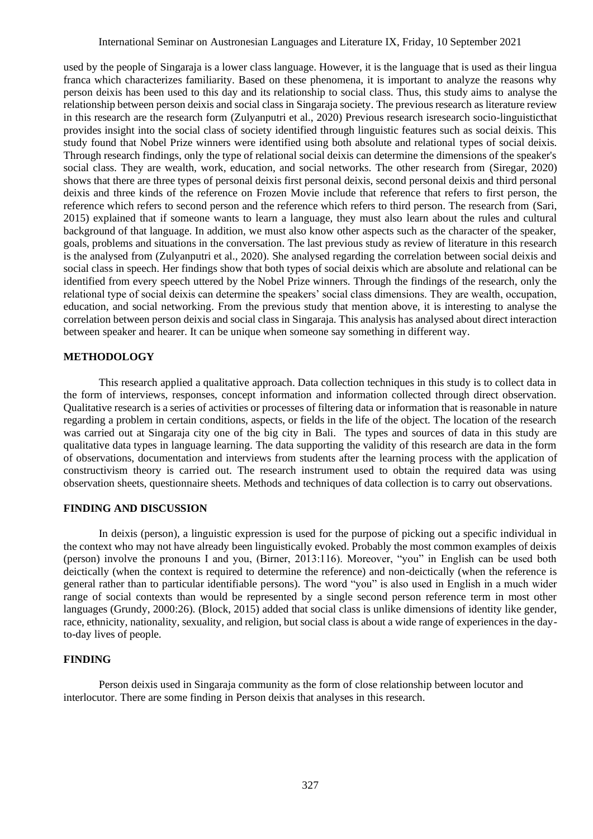used by the people of Singaraja is a lower class language. However, it is the language that is used as their lingua franca which characterizes familiarity. Based on these phenomena, it is important to analyze the reasons why person deixis has been used to this day and its relationship to social class. Thus, this study aims to analyse the relationship between person deixis and social class in Singaraja society. The previous research as literature review in this research are the research form (Zulyanputri et al., 2020) Previous research isresearch socio-linguisticthat provides insight into the social class of society identified through linguistic features such as social deixis. This study found that Nobel Prize winners were identified using both absolute and relational types of social deixis. Through research findings, only the type of relational social deixis can determine the dimensions of the speaker's social class. They are wealth, work, education, and social networks. The other research from (Siregar, 2020) shows that there are three types of personal deixis first personal deixis, second personal deixis and third personal deixis and three kinds of the reference on Frozen Movie include that reference that refers to first person, the reference which refers to second person and the reference which refers to third person. The research from (Sari, 2015) explained that if someone wants to learn a language, they must also learn about the rules and cultural background of that language. In addition, we must also know other aspects such as the character of the speaker, goals, problems and situations in the conversation. The last previous study as review of literature in this research is the analysed from (Zulyanputri et al., 2020). She analysed regarding the correlation between social deixis and social class in speech. Her findings show that both types of social deixis which are absolute and relational can be identified from every speech uttered by the Nobel Prize winners. Through the findings of the research, only the relational type of social deixis can determine the speakers' social class dimensions. They are wealth, occupation, education, and social networking. From the previous study that mention above, it is interesting to analyse the correlation between person deixis and social class in Singaraja. This analysis has analysed about direct interaction between speaker and hearer. It can be unique when someone say something in different way.

## **METHODOLOGY**

This research applied a qualitative approach. Data collection techniques in this study is to collect data in the form of interviews, responses, concept information and information collected through direct observation. Qualitative research is a series of activities or processes of filtering data or information that is reasonable in nature regarding a problem in certain conditions, aspects, or fields in the life of the object. The location of the research was carried out at Singaraja city one of the big city in Bali. The types and sources of data in this study are qualitative data types in language learning. The data supporting the validity of this research are data in the form of observations, documentation and interviews from students after the learning process with the application of constructivism theory is carried out. The research instrument used to obtain the required data was using observation sheets, questionnaire sheets. Methods and techniques of data collection is to carry out observations.

## **FINDING AND DISCUSSION**

In deixis (person), a linguistic expression is used for the purpose of picking out a specific individual in the context who may not have already been linguistically evoked. Probably the most common examples of deixis (person) involve the pronouns I and you, (Birner, 2013:116). Moreover, "you" in English can be used both deictically (when the context is required to determine the reference) and non-deictically (when the reference is general rather than to particular identifiable persons). The word "you" is also used in English in a much wider range of social contexts than would be represented by a single second person reference term in most other languages (Grundy, 2000:26). (Block, 2015) added that social class is unlike dimensions of identity like gender, race, ethnicity, nationality, sexuality, and religion, but social class is about a wide range of experiences in the dayto-day lives of people.

## **FINDING**

Person deixis used in Singaraja community as the form of close relationship between locutor and interlocutor. There are some finding in Person deixis that analyses in this research.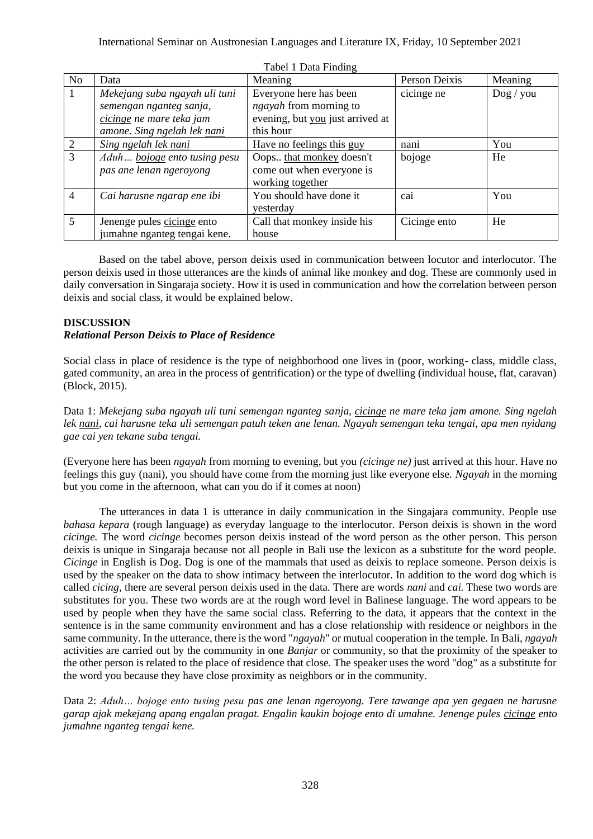| N <sub>o</sub>  | Data                          | Meaning                          | Person Deixis | Meaning             |
|-----------------|-------------------------------|----------------------------------|---------------|---------------------|
|                 | Mekejang suba ngayah uli tuni | Everyone here has been           | cicinge ne    | $\log / \text{you}$ |
|                 | semengan nganteg sanja,       | <i>ngayah</i> from morning to    |               |                     |
|                 | cicinge ne mare teka jam      | evening, but you just arrived at |               |                     |
|                 | amone. Sing ngelah lek nani   | this hour                        |               |                     |
|                 | Sing ngelah lek nani          | Have no feelings this guy        | nani          | You                 |
| 3               | Aduh bojoge ento tusing pesu  | Oops that monkey doesn't         | bojoge        | He                  |
|                 | pas ane lenan ngeroyong       | come out when everyone is        |               |                     |
|                 |                               | working together                 |               |                     |
| $\overline{4}$  | Cai harusne ngarap ene ibi    | You should have done it          | cai           | You                 |
|                 |                               | yesterday                        |               |                     |
| $5\overline{)}$ | Jenenge pules cicinge ento    | Call that monkey inside his      | Cicinge ento  | He                  |
|                 | jumahne nganteg tengai kene.  | house                            |               |                     |

Tabel 1 Data Finding

Based on the tabel above, person deixis used in communication between locutor and interlocutor. The person deixis used in those utterances are the kinds of animal like monkey and dog. These are commonly used in daily conversation in Singaraja society. How it is used in communication and how the correlation between person deixis and social class, it would be explained below.

# **DISCUSSION**

## *Relational Person Deixis to Place of Residence*

Social class in place of residence is the type of neighborhood one lives in (poor, working- class, middle class, gated community, an area in the process of gentrification) or the type of dwelling (individual house, flat, caravan) (Block, 2015).

Data 1: *Mekejang suba ngayah uli tuni semengan nganteg sanja, cicinge ne mare teka jam amone. Sing ngelah lek nani, cai harusne teka uli semengan patuh teken ane lenan. Ngayah semengan teka tengai, apa men nyidang gae cai yen tekane suba tengai.*

(Everyone here has been *ngayah* from morning to evening, but you *(cicinge ne)* just arrived at this hour. Have no feelings this guy (nani), you should have come from the morning just like everyone else. *Ngayah* in the morning but you come in the afternoon, what can you do if it comes at noon)

The utterances in data 1 is utterance in daily communication in the Singajara community. People use *bahasa kepara* (rough language) as everyday language to the interlocutor. Person deixis is shown in the word *cicinge.* The word *cicinge* becomes person deixis instead of the word person as the other person. This person deixis is unique in Singaraja because not all people in Bali use the lexicon as a substitute for the word people. *Cicinge* in English is Dog. Dog is one of the mammals that used as deixis to replace someone. Person deixis is used by the speaker on the data to show intimacy between the interlocutor. In addition to the word dog which is called *cicing,* there are several person deixis used in the data. There are words *nani* and *cai.* These two words are substitutes for you. These two words are at the rough word level in Balinese language. The word appears to be used by people when they have the same social class. Referring to the data, it appears that the context in the sentence is in the same community environment and has a close relationship with residence or neighbors in the same community. In the utterance, there is the word "*ngayah*" or mutual cooperation in the temple. In Bali, *ngayah* activities are carried out by the community in one *Banjar* or community, so that the proximity of the speaker to the other person is related to the place of residence that close. The speaker uses the word "dog" as a substitute for the word you because they have close proximity as neighbors or in the community.

Data 2: *Aduh… bojoge ento tusing pesu pas ane lenan ngeroyong. Tere tawange apa yen gegaen ne harusne garap ajak mekejang apang engalan pragat. Engalin kaukin bojoge ento di umahne. Jenenge pules cicinge ento jumahne nganteg tengai kene.*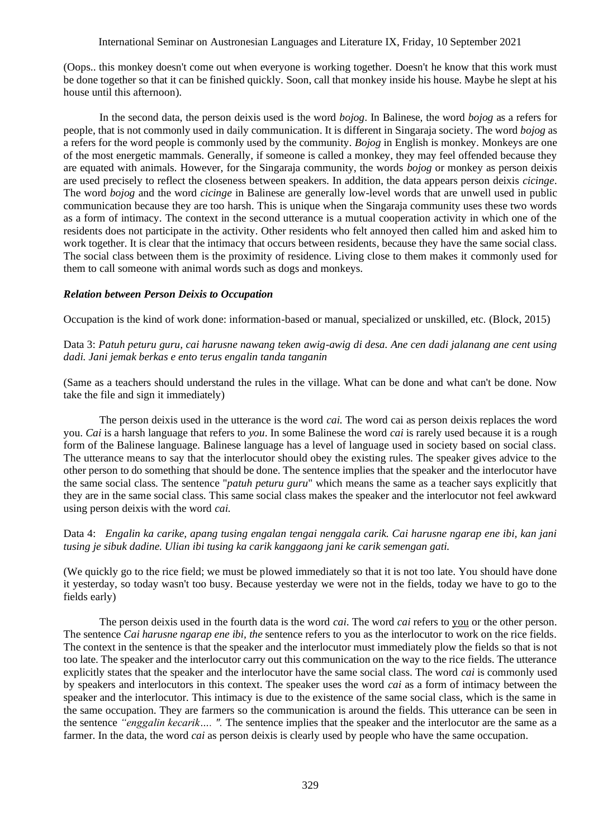## International Seminar on Austronesian Languages and Literature IX, Friday, 10 September 2021

(Oops.. this monkey doesn't come out when everyone is working together. Doesn't he know that this work must be done together so that it can be finished quickly. Soon, call that monkey inside his house. Maybe he slept at his house until this afternoon).

In the second data, the person deixis used is the word *bojog*. In Balinese, the word *bojog* as a refers for people, that is not commonly used in daily communication. It is different in Singaraja society. The word *bojog* as a refers for the word people is commonly used by the community. *Bojog* in English is monkey. Monkeys are one of the most energetic mammals. Generally, if someone is called a monkey, they may feel offended because they are equated with animals. However, for the Singaraja community, the words *bojog* or monkey as person deixis are used precisely to reflect the closeness between speakers. In addition, the data appears person deixis *cicinge*. The word *bojog* and the word *cicinge* in Balinese are generally low-level words that are unwell used in public communication because they are too harsh. This is unique when the Singaraja community uses these two words as a form of intimacy. The context in the second utterance is a mutual cooperation activity in which one of the residents does not participate in the activity. Other residents who felt annoyed then called him and asked him to work together. It is clear that the intimacy that occurs between residents, because they have the same social class. The social class between them is the proximity of residence. Living close to them makes it commonly used for them to call someone with animal words such as dogs and monkeys.

#### *Relation between Person Deixis to Occupation*

Occupation is the kind of work done: information-based or manual, specialized or unskilled, etc. (Block, 2015)

Data 3: *Patuh peturu guru, cai harusne nawang teken awig-awig di desa. Ane cen dadi jalanang ane cent using dadi. Jani jemak berkas e ento terus engalin tanda tanganin*

(Same as a teachers should understand the rules in the village. What can be done and what can't be done. Now take the file and sign it immediately)

The person deixis used in the utterance is the word *cai.* The word cai as person deixis replaces the word you. *Cai* is a harsh language that refers to *you*. In some Balinese the word *cai* is rarely used because it is a rough form of the Balinese language. Balinese language has a level of language used in society based on social class. The utterance means to say that the interlocutor should obey the existing rules. The speaker gives advice to the other person to do something that should be done. The sentence implies that the speaker and the interlocutor have the same social class. The sentence "*patuh peturu guru*" which means the same as a teacher says explicitly that they are in the same social class. This same social class makes the speaker and the interlocutor not feel awkward using person deixis with the word *cai.* 

Data 4: *Engalin ka carike, apang tusing engalan tengai nenggala carik. Cai harusne ngarap ene ibi, kan jani tusing je sibuk dadine. Ulian ibi tusing ka carik kanggaong jani ke carik semengan gati.*

(We quickly go to the rice field; we must be plowed immediately so that it is not too late. You should have done it yesterday, so today wasn't too busy. Because yesterday we were not in the fields, today we have to go to the fields early)

The person deixis used in the fourth data is the word *cai*. The word *cai* refers to you or the other person. The sentence *Cai harusne ngarap ene ibi, the* sentence refers to you as the interlocutor to work on the rice fields. The context in the sentence is that the speaker and the interlocutor must immediately plow the fields so that is not too late. The speaker and the interlocutor carry out this communication on the way to the rice fields. The utterance explicitly states that the speaker and the interlocutor have the same social class. The word *cai* is commonly used by speakers and interlocutors in this context. The speaker uses the word *cai* as a form of intimacy between the speaker and the interlocutor. This intimacy is due to the existence of the same social class, which is the same in the same occupation. They are farmers so the communication is around the fields. This utterance can be seen in the sentence *"enggalin kecarik…. ".* The sentence implies that the speaker and the interlocutor are the same as a farmer. In the data, the word *cai* as person deixis is clearly used by people who have the same occupation.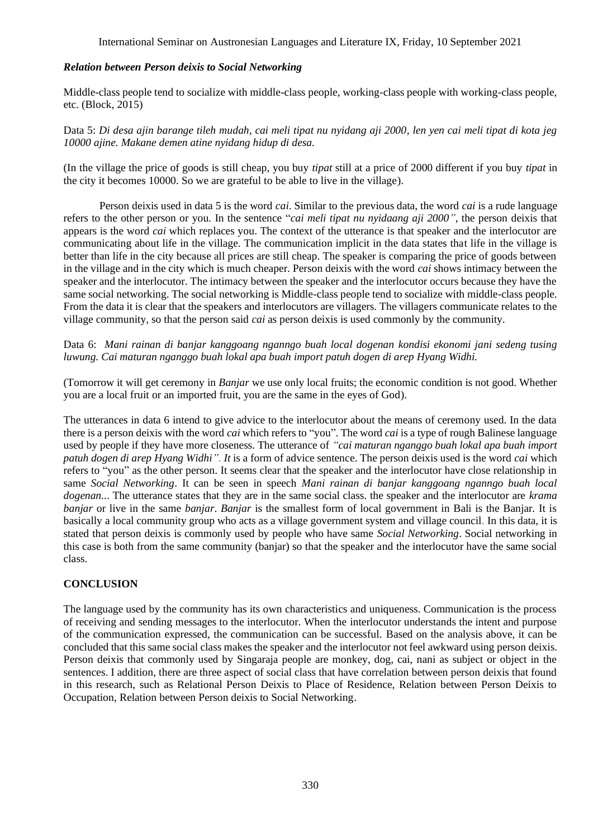# *Relation between Person deixis to Social Networking*

Middle-class people tend to socialize with middle-class people, working-class people with working-class people, etc. (Block, 2015)

Data 5: *Di desa ajin barange tileh mudah, cai meli tipat nu nyidang aji 2000, len yen cai meli tipat di kota jeg 10000 ajine. Makane demen atine nyidang hidup di desa.*

(In the village the price of goods is still cheap, you buy *tipat* still at a price of 2000 different if you buy *tipat* in the city it becomes 10000. So we are grateful to be able to live in the village).

Person deixis used in data 5 is the word *cai*. Similar to the previous data, the word *cai* is a rude language refers to the other person or you. In the sentence "*cai meli tipat nu nyidaang aji 2000"*, the person deixis that appears is the word *cai* which replaces you. The context of the utterance is that speaker and the interlocutor are communicating about life in the village. The communication implicit in the data states that life in the village is better than life in the city because all prices are still cheap. The speaker is comparing the price of goods between in the village and in the city which is much cheaper. Person deixis with the word *cai* shows intimacy between the speaker and the interlocutor. The intimacy between the speaker and the interlocutor occurs because they have the same social networking. The social networking is Middle-class people tend to socialize with middle-class people. From the data it is clear that the speakers and interlocutors are villagers. The villagers communicate relates to the village community, so that the person said *cai* as person deixis is used commonly by the community.

Data 6: *Mani rainan di banjar kanggoang nganngo buah local dogenan kondisi ekonomi jani sedeng tusing luwung. Cai maturan nganggo buah lokal apa buah import patuh dogen di arep Hyang Widhi.*

(Tomorrow it will get ceremony in *Banjar* we use only local fruits; the economic condition is not good. Whether you are a local fruit or an imported fruit, you are the same in the eyes of God).

The utterances in data 6 intend to give advice to the interlocutor about the means of ceremony used. In the data there is a person deixis with the word *cai* which refers to "you". The word *cai* is a type of rough Balinese language used by people if they have more closeness. The utterance of *"cai maturan nganggo buah lokal apa buah import patuh dogen di arep Hyang Widhi". It* is a form of advice sentence. The person deixis used is the word *cai* which refers to "you" as the other person. It seems clear that the speaker and the interlocutor have close relationship in same *Social Networking*. It can be seen in speech *Mani rainan di banjar kanggoang nganngo buah local dogenan..*. The utterance states that they are in the same social class. the speaker and the interlocutor are *krama banjar* or live in the same *banjar*. *Banjar* is the smallest form of local government in Bali is the Banjar. It is basically a local community group who acts as a village government system and village council. In this data, it is stated that person deixis is commonly used by people who have same *Social Networking*. Social networking in this case is both from the same community (banjar) so that the speaker and the interlocutor have the same social class.

# **CONCLUSION**

The language used by the community has its own characteristics and uniqueness. Communication is the process of receiving and sending messages to the interlocutor. When the interlocutor understands the intent and purpose of the communication expressed, the communication can be successful. Based on the analysis above, it can be concluded that this same social class makes the speaker and the interlocutor not feel awkward using person deixis. Person deixis that commonly used by Singaraja people are monkey, dog, cai, nani as subject or object in the sentences. I addition, there are three aspect of social class that have correlation between person deixis that found in this research, such as Relational Person Deixis to Place of Residence, Relation between Person Deixis to Occupation, Relation between Person deixis to Social Networking.